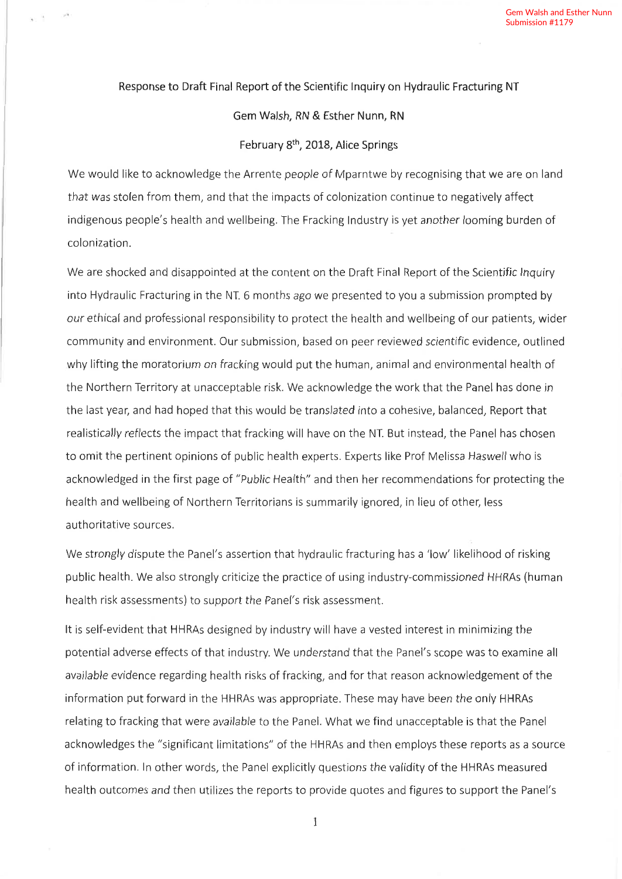## Response to Draft Final Report of the Scientific lnquiry on Hydraulic Fracturing NT

 $\lambda$ 

Gem Walsh, RN & Esther Nunn, RN

February 8<sup>th</sup>, 2018, Alice Springs

We would like to acknowledge the Arrente people of Mparntwe by recognising that we are on land that was stolen from them, and that the impacts of colonization continue to negatively affect indigenous people's health and wellbeing. The Fracking lndustry is yet another looming burden of colonization.

We are shocked and disappointed at the content on the Draft Final Report of the Scientific lnquiry into Hydraulic Fracturing in the NT. 6 months ago we presented to you a submission prompted by our ethical and professional responsibility to protect the health and wellbeing of our patients, wider community and environment. Our submission, based on peer reviewed scientific evidence, outlined why lifting the moratorium on fracking would put the human, animal and environmental health of the Northern Territory at unacceptable risk. We acknowledge the work that the Panel has done in the last year, and had hoped that this would be translated into a cohesive, balanced, Report that realistically reflects the impact that fracking will have on the NT. But instead, the Panel has chosen to omit the pertinent opinions of public health experts. Experts like Prof Melissa Haswell who is acknowledged in the first page of "Public Health" and then her recommendations for protecting the health and wellbeing of Northern Territorians is summarily ignored, in lieu of other; less authoritative sources.

We strongly dispute the Panel's assertion that hydraulic fracturing has a 'low' likelihood of risking public health. We also strongly criticize the practice of using industry-commissioned HHRAs (human health risk assessments) to support the Panel's risk assessment.

It is self-evident that HHRAs designed by industry will have a vested interest in minimizing the potential adverse effects of that industry. We understand that the Panel's scope was to examine all available evidence regarding health risks of fracking, and for that reason acknowledgement of the information put forward in the HHRAs was appropriate. These may have been the only HHRAs relating to fracking that were available to the Panel. What we find unacceptable is that the Panel acknowledges the "significant limitations" of the HHRAs and then employs these reports as a source of information. ln other words, the Panel explicitly questions the validity of the HHRAs measured health outcomes and then utilizes the reports to provide quotes and figures to support the Panel's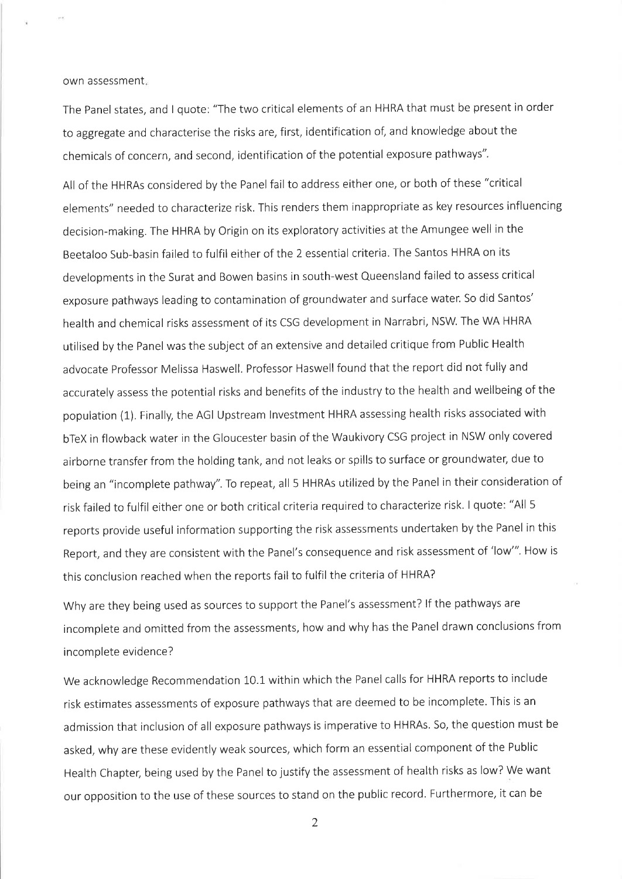own assessment

The Panel states, and I quote: "The two critical elements of an HHRA that must be present in order to aggregate and characterise the risks are, first, identification of, and knowledge about the chemicals of concern, and second, identification of the potential exposure pathways".

All of the HHRAs considered by the Panel fail to address either one, or both of these "critical elements" needed to characterize risk. This renders them inappropriate as key resources influencing decision-making. The HHRA by Origin on its exploratory activities at the Amungee well in the Beetaloo Sub-basin failed to fulfil either of the 2 essential criteria. The Santos HHRA on its developments in the Surat and Bowen basins in south-west Queensland failed to assess critical exposure pathways leading to contamination of groundwater and surface water. So did Santos' health and chemical risks assessment of its CSG development in Narrabri, NSW. The WA HHRA utilised by the Panel was the subject of an extensive and detailed critique from Public Health advocate Professor Melissa Haswell. Professor Haswell found that the report did not fully and accurately assess the potential risks and benefits of the industry to the health and wellbeing of the population (1). Finally, the AGI Upstream lnvestment HHRA assessing health risks associated with bTeX in flowback water in the Gloucester basin of the Waukivory CSG project in NSW only covered airborne transfer from the holding tank, and not leaks or spills to surface or groundwater, due to being an "incomplete pathway". To repeat, all 5 HHRAs utilized by the Panel in their consideration of risk failed to fulfil either one or both critical criteria required to characterize risk. I quote: "All <sup>5</sup> reports provide useful information supporting the risk assessments undertaken by the Panel in this Report, and they are consistent with the Panel's consequence and risk assessment of 'low"'. How is this conclusion reached when the reports fail to fulfil the criteria of HHRA?

Why are they being used as sources to support the Panel's assessment? lf the pathways are incomplete and omitted from the assessments, how and why has the Panel drawn conclusions from incomplete evidence?

We acknowledge Recommendation 10.1 within which the Panel calls for HHRA reports to include risk estimates assessments of exposure pathways that are deemed to be incomplete. This is an admission that inclusion of all exposure pathways is imperative to HHRAs. So, the question must be asked, why are these evidently weak sources, which form an essential component of the Public Health Chapter, being used by the Panel to justify the assessment of health risks as low? We want our opposition to the use of these sources to stand on the public record. Furthermore, it can be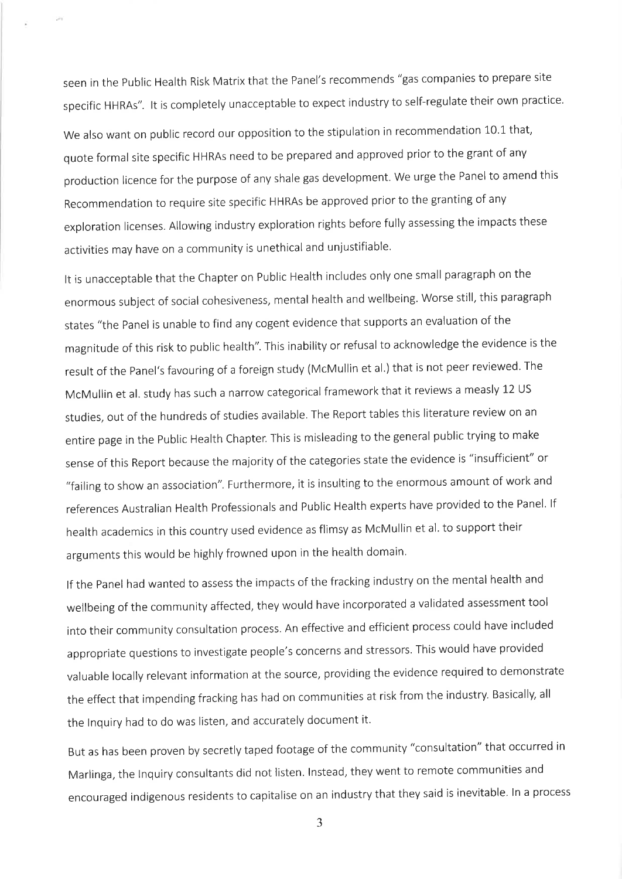seen in the public Health Risk Matrix that the Panel's recommends "gas companies to prepare site specific HHRAs". It is completely unacceptable to expect industry to self-regulate their own practice. We also want on public record our opposition to the stipulation in recommendation 10.1 that, quote formal site specific HHRAs need to be prepared and approved prior to the grant of any production licence for the purpose of any shale gas development. we urge the Panel to amend this Recommendation to require site specific HHRAs be approved prior to the granting of any exploration licenses. Allowing industry exploration rights before fully assessing the impacts these

activities may have on a community is unethical and unjustifiable.

It is unacceptable that the Chapter on Public Health includes only one small paragraph on the enormous subject of social cohesiveness, mental health and wellbeing. Worse still, this paragraph states "the panel is unable to find any cogent evidence that supports an evaluation of the magnitude of this risk to public health". This inability or refusal to acknowledge the evidence is the result of the Panel's favouring of a foreign study (McMullin et al.) that is not peer reviewed. The McMullin et al. study has such a narrow categorical framework that it reviews a measly 12 US studies, out of the hundreds of studies available. The Report tables this literature review on an entire page in the public Health Chapter. This is misleading to the general public trying to make sense of this Report because the majority of the categories state the evidence is "insufficient" or "failing to show an association". Furthermore, it is insulting to the enormous amount of work and references Australian Health Professionals and Public Health experts have provided to the Panel. If health academics in this country used evidence as flimsy as McMullin et al. to support their arguments this would be highly frowned upon in the health domain.

lf the panel had wanted to assess the impacts of the fracking industry on the mental health and wellbeing of the community affected, they would have incorporated a validated assessment tool into their community consultation process. An effective and efficient process could have included appropriate questions to investigate people's concerns and stressors. This would have provided valuable locally relevant information at the source, providing the evidence required to demonstrate the effect that impending fracking has had on communities at risk from the industry. Basically, all the Inquiry had to do was listen, and accurately document it.

But as has been proven by secretly taped footage of the community "consultation" that occurred in Marlinga, the lnquiry consultants did not listen. lnstead, they went to remote communities and encouraged indigenous residents to capitalise on an industry that they said is inevitable. ln a process

J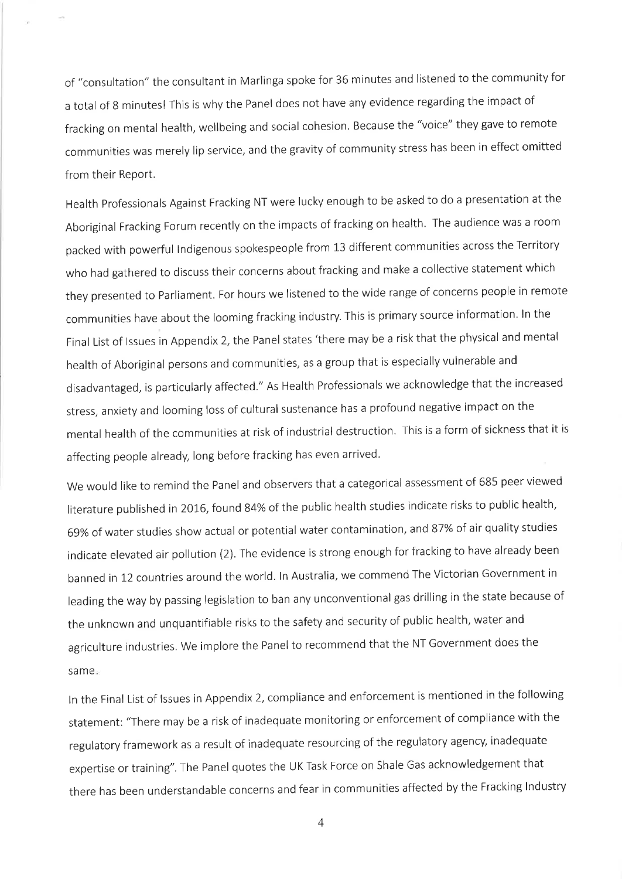of "consultation" the consultant in Marlinga spoke for 36 minutes and listened to the community for a total of 8 minutes! This is why the Panel does not have any evidence regarding the impact of fracking on mental health, wellbeing and social cohesion. Because the "voice" they gave to remote communities was merely lip service, and the gravity of community stress has been in effect omitted from their Report.

Health professionals Against Fracking NT were lucky enough to be asked to do a presentation at the Aboriginal Fracking Forum recently on the impacts of fracking on health. The audience was a room packed with powerful Indigenous spokespeople from 13 different communities across the Territory who had gathered to discuss their concerns about fracking and make a collective statement which they presented to parliament. For hours we listened to the wide range of concerns people in remote communities have about the looming fracking industry. This is primary source information. ln the Final List of lssues in Appendix 2, the Panel states 'there may be a risk that the physical and mental health of Aboriginal persons and communities, as a group that is especially vulnerable and disadvantaged, is particularly affected." As Health Professionals we acknowledge that the increased stress, anxiety and looming loss of cultural sustenance has a profound negative impact on the mental health of the communities at risk of industrial destruction. This is a form of sickness that it is affecting people already, long before fracking has even arrived.

We would like to remind the Panel and observers that a categorical assessment of 685 peer viewed literature published in 2016, found 84% of the public health studies indicate risks to public health, 69% of water studies show actual or potential water contamination, and 87% of air quality studies indicate elevated air pollution (2). The evidence is strong enough for fracking to have already been banned in 12 countries around the world. In Australia, we commend The Victorian Government in leading the way by passing legislation to ban any unconventional gas drilling in the state because of the unknown and unquantifiable risks to the safety and security of public health, water and agriculture industries. We implore the Panel to recommend that the NT Government does the same

ln the Final List of lssues in Appendix 2, compliance and enforcement is mentioned in the following statement: "There may be a risk of inadequate monitoring or enforcement of compliance with the regulatory framework as a result of inadequate resourcing of the regulatory agency, inadequate expertise or training". The Panel quotes the UK Task Force on Shale Gas acknowledgement that there has been understandable concerns and fear in communities affected bythe Fracking lndustry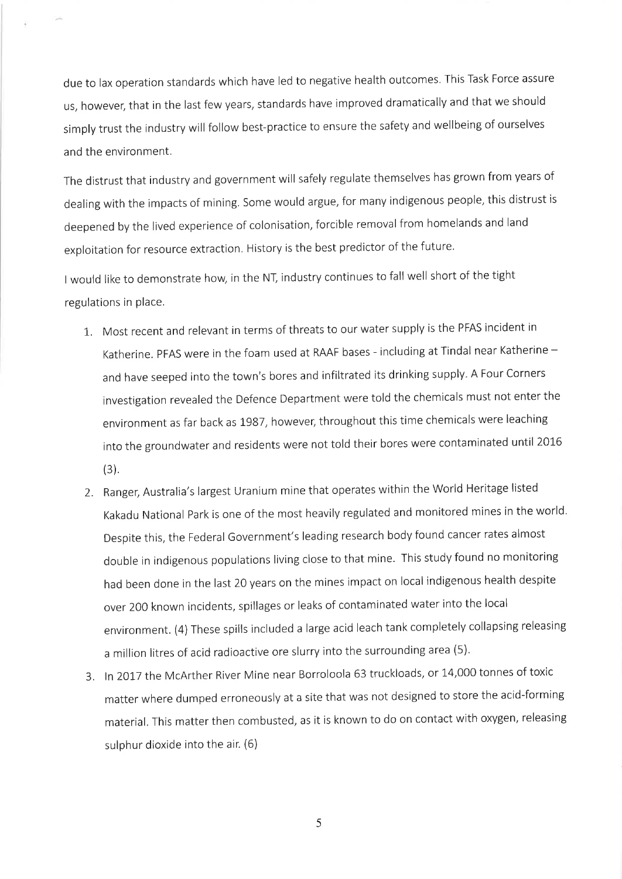due to lax operation standards which have led to negative health outcomes. This Task Force assure us, however; that in the last few years, standards have improved dramatically and that we should simply trust the industry will follow best-practice to ensure the safety and wellbeing of ourselves and the environment.

The distrust that industry and government will safely regulate themselves has grown from years of dealing with the impacts of mining. Some would argue, for many indigenous people, this distrust is deepened by the lived experience of colonisation, forcible removal from homelands and land exploitation for resource extraction. History is the best predictor of the future.

I would like to demonstrate how, in the NT, industry continues to fall well short of the tight regulations in place.

- 1,. Most recent and relevant in terms of threats to our water supply is the PFAS incident in Katherine. PFAS were in the foam used at RAAF bases - including at Tindal near Katherine  $$ and have seeped into the town's bores and infiltrated its drinking supply- A Four Corners investigation revealed the Defence Department were told the chemicals must not enter the environment as far back as 1987, however, throughout this time chemicals were leaching into the groundwater and residents were not told their bores were contaminated until 2016 (3).
- 2. Ranger; Australia's largest Uranium mine that operates within the World Heritage listed Kakadu National park is one of the most heavily regulated and monitored mines in the world. Despite this, the Federal Government's leading research body found cancer rates almost double in indigenous populations living close to that mine. This study found no monitoring had been done in the last 20 years on the mines impact on local indigenous health despite over 2OO known incidents, spillages or leaks of contaminated water into the local environment. (4) These spills included a large acid leach tank completely collapsing releasing a million litres of acid radioactive ore slurry into the surrounding area (5).
- 3. In 2017 the McArther River Mine near Borroloola 63 truckloads, or 14,000 tonnes of toxic matter where dumped erroneously at a site that was not designed to store the acid-forming material. This matter then combusted, as it is known to do on contact with oxygen, releaslng sulphur dioxide into the air. (6)